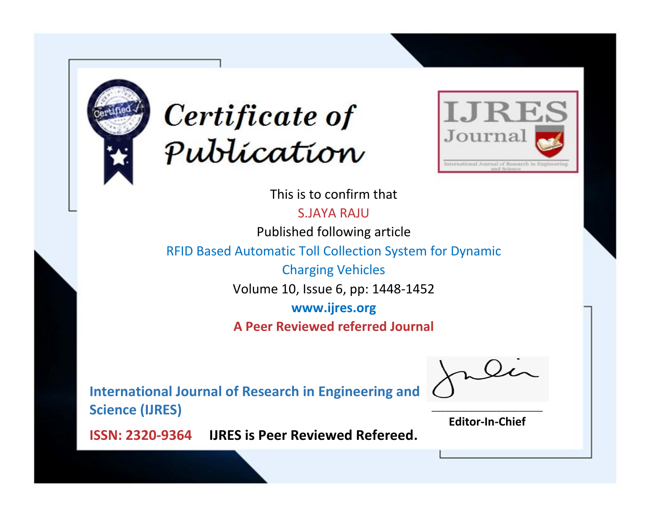



This is to confirm that

S.JAYA RAJU

Published following article

RFID Based Automatic Toll Collection System for Dynamic

Charging Vehicles

Volume 10, Issue 6, pp: 1448-1452

**www.ijres.org**

**A Peer Reviewed referred Journal**

**International Journal of Research in Engineering and Science (IJRES)**

\_\_\_\_\_\_\_\_\_\_\_\_\_\_\_\_\_\_\_\_\_\_\_\_ **Editor-In-Chief**

**Journal.**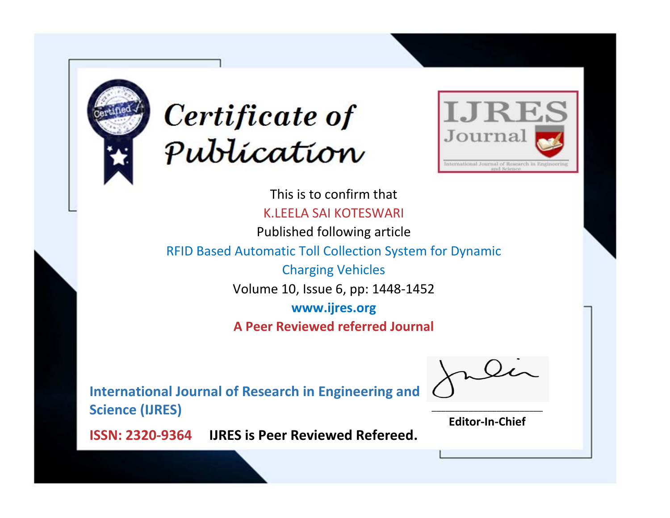



This is to confirm that K.LEELA SAI KOTESWARI

Published following article

RFID Based Automatic Toll Collection System for Dynamic

Charging Vehicles

Volume 10, Issue 6, pp: 1448-1452

**www.ijres.org**

**A Peer Reviewed referred Journal**

**International Journal of Research in Engineering and Science (IJRES)**

\_\_\_\_\_\_\_\_\_\_\_\_\_\_\_\_\_\_\_\_\_\_\_\_ **Editor-In-Chief**

**Journal.**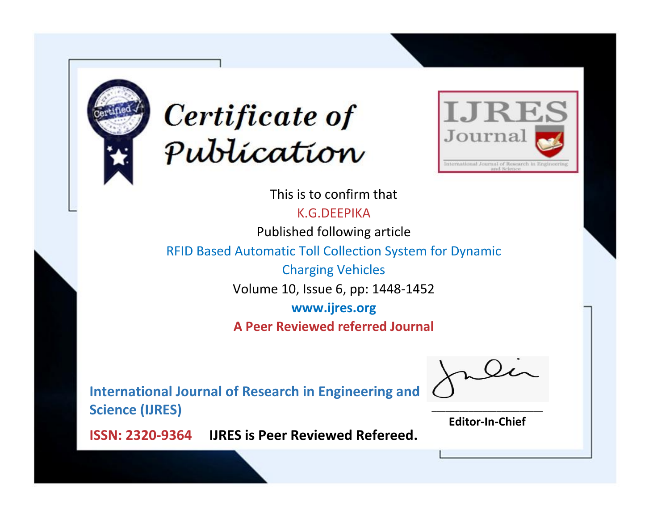



This is to confirm that

K.G.DEEPIKA

Published following article

RFID Based Automatic Toll Collection System for Dynamic

Charging Vehicles

Volume 10, Issue 6, pp: 1448-1452

**www.ijres.org**

**A Peer Reviewed referred Journal**

**International Journal of Research in Engineering and Science (IJRES)**

\_\_\_\_\_\_\_\_\_\_\_\_\_\_\_\_\_\_\_\_\_\_\_\_ **Editor-In-Chief**

**Journal.**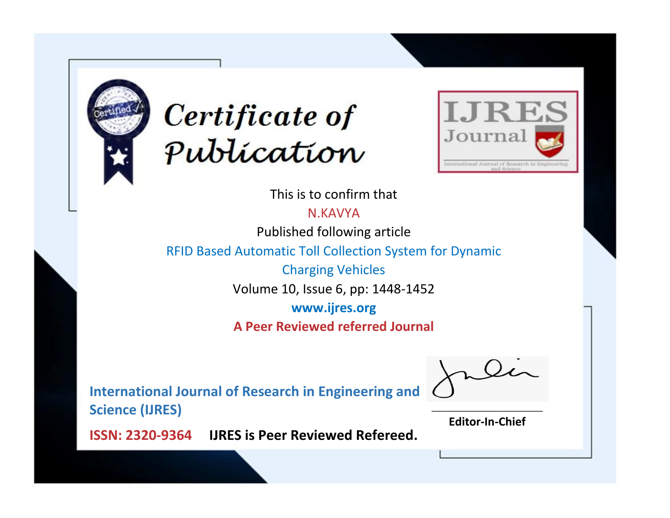



This is to confirm that

N.KAVYA

Published following article

RFID Based Automatic Toll Collection System for Dynamic

Charging Vehicles

Volume 10, Issue 6, pp: 1448-1452

**www.ijres.org**

**A Peer Reviewed referred Journal**

**International Journal of Research in Engineering and Science (IJRES)**

\_\_\_\_\_\_\_\_\_\_\_\_\_\_\_\_\_\_\_\_\_\_\_\_ **Editor-In-Chief**

**Journal.**